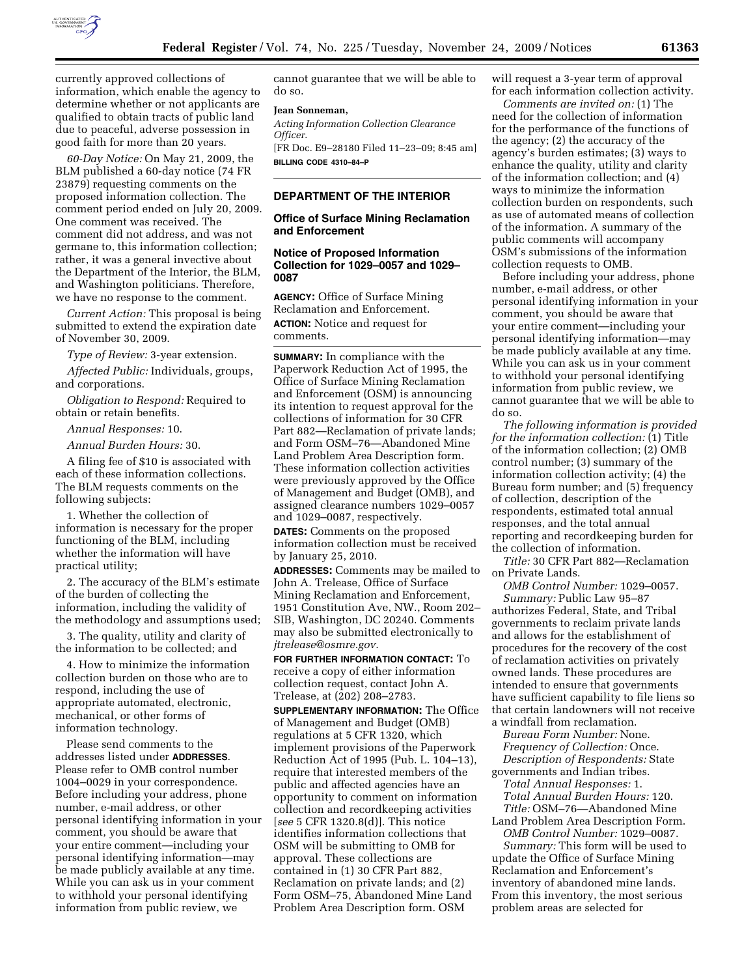

currently approved collections of information, which enable the agency to determine whether or not applicants are qualified to obtain tracts of public land due to peaceful, adverse possession in good faith for more than 20 years.

*60-Day Notice:* On May 21, 2009, the BLM published a 60-day notice (74 FR 23879) requesting comments on the proposed information collection. The comment period ended on July 20, 2009. One comment was received. The comment did not address, and was not germane to, this information collection; rather, it was a general invective about the Department of the Interior, the BLM, and Washington politicians. Therefore, we have no response to the comment.

*Current Action:* This proposal is being submitted to extend the expiration date of November 30, 2009.

*Type of Review:* 3-year extension.

*Affected Public:* Individuals, groups, and corporations.

*Obligation to Respond:* Required to obtain or retain benefits.

*Annual Responses:* 10.

*Annual Burden Hours:* 30.

A filing fee of \$10 is associated with each of these information collections. The BLM requests comments on the following subjects:

1. Whether the collection of information is necessary for the proper functioning of the BLM, including whether the information will have practical utility;

2. The accuracy of the BLM's estimate of the burden of collecting the information, including the validity of the methodology and assumptions used;

3. The quality, utility and clarity of the information to be collected; and

4. How to minimize the information collection burden on those who are to respond, including the use of appropriate automated, electronic, mechanical, or other forms of information technology.

Please send comments to the addresses listed under **ADDRESSES**. Please refer to OMB control number 1004–0029 in your correspondence. Before including your address, phone number, e-mail address, or other personal identifying information in your comment, you should be aware that your entire comment—including your personal identifying information—may be made publicly available at any time. While you can ask us in your comment to withhold your personal identifying information from public review, we

cannot guarantee that we will be able to do so.

#### **Jean Sonneman,**

*Acting Information Collection Clearance Officer.*  [FR Doc. E9–28180 Filed 11–23–09; 8:45 am]

**BILLING CODE 4310–84–P** 

## **DEPARTMENT OF THE INTERIOR**

## **Office of Surface Mining Reclamation and Enforcement**

### **Notice of Proposed Information Collection for 1029–0057 and 1029– 0087**

**AGENCY:** Office of Surface Mining Reclamation and Enforcement. **ACTION:** Notice and request for comments.

**SUMMARY:** In compliance with the Paperwork Reduction Act of 1995, the Office of Surface Mining Reclamation and Enforcement (OSM) is announcing its intention to request approval for the collections of information for 30 CFR Part 882—Reclamation of private lands; and Form OSM–76—Abandoned Mine Land Problem Area Description form. These information collection activities were previously approved by the Office of Management and Budget (OMB), and assigned clearance numbers 1029–0057 and 1029–0087, respectively.

**DATES:** Comments on the proposed information collection must be received by January 25, 2010.

**ADDRESSES:** Comments may be mailed to John A. Trelease, Office of Surface Mining Reclamation and Enforcement, 1951 Constitution Ave, NW., Room 202– SIB, Washington, DC 20240. Comments may also be submitted electronically to *jtrelease@osmre.gov.* 

**FOR FURTHER INFORMATION CONTACT:** To receive a copy of either information collection request, contact John A. Trelease, at (202) 208–2783.

**SUPPLEMENTARY INFORMATION:** The Office of Management and Budget (OMB) regulations at 5 CFR 1320, which implement provisions of the Paperwork Reduction Act of 1995 (Pub. L. 104–13), require that interested members of the public and affected agencies have an opportunity to comment on information collection and recordkeeping activities [*see* 5 CFR 1320.8(d)]. This notice identifies information collections that OSM will be submitting to OMB for approval. These collections are contained in (1) 30 CFR Part 882, Reclamation on private lands; and (2) Form OSM–75, Abandoned Mine Land Problem Area Description form. OSM

will request a 3-year term of approval for each information collection activity.

*Comments are invited on:* (1) The need for the collection of information for the performance of the functions of the agency; (2) the accuracy of the agency's burden estimates; (3) ways to enhance the quality, utility and clarity of the information collection; and (4) ways to minimize the information collection burden on respondents, such as use of automated means of collection of the information. A summary of the public comments will accompany OSM's submissions of the information collection requests to OMB.

Before including your address, phone number, e-mail address, or other personal identifying information in your comment, you should be aware that your entire comment—including your personal identifying information—may be made publicly available at any time. While you can ask us in your comment to withhold your personal identifying information from public review, we cannot guarantee that we will be able to do so.

*The following information is provided for the information collection:* (1) Title of the information collection; (2) OMB control number; (3) summary of the information collection activity; (4) the Bureau form number; and (5) frequency of collection, description of the respondents, estimated total annual responses, and the total annual reporting and recordkeeping burden for the collection of information.

*Title:* 30 CFR Part 882—Reclamation on Private Lands.

*OMB Control Number:* 1029–0057. *Summary:* Public Law 95–87 authorizes Federal, State, and Tribal governments to reclaim private lands and allows for the establishment of procedures for the recovery of the cost of reclamation activities on privately owned lands. These procedures are intended to ensure that governments have sufficient capability to file liens so that certain landowners will not receive a windfall from reclamation.

*Bureau Form Number:* None. *Frequency of Collection:* Once. *Description of Respondents:* State governments and Indian tribes.

*Total Annual Responses:* 1. *Total Annual Burden Hours:* 120. *Title:* OSM–76—Abandoned Mine Land Problem Area Description Form.

*OMB Control Number:* 1029–0087. *Summary:* This form will be used to update the Office of Surface Mining Reclamation and Enforcement's inventory of abandoned mine lands. From this inventory, the most serious problem areas are selected for